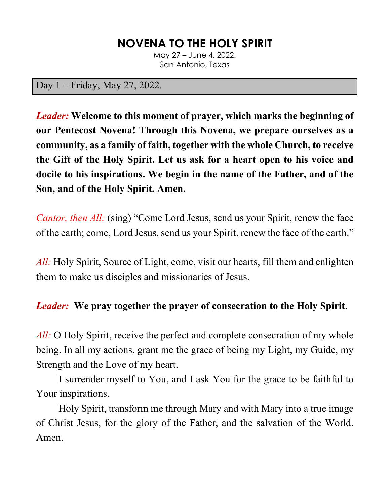# **NOVENA TO THE HOLY SPIRIT**

May 27 – June 4, 2022. San Antonio, Texas

#### Day 1 – Friday, May 27, 2022.

*Leader:* **Welcome to this moment of prayer, which marks the beginning of our Pentecost Novena! Through this Novena, we prepare ourselves as a community, as a family of faith, together with the whole Church, to receive the Gift of the Holy Spirit. Let us ask for a heart open to his voice and docile to his inspirations. We begin in the name of the Father, and of the Son, and of the Holy Spirit. Amen.**

*Cantor, then All:* (sing) "Come Lord Jesus, send us your Spirit, renew the face of the earth; come, Lord Jesus, send us your Spirit, renew the face of the earth."

*All:* Holy Spirit, Source of Light, come, visit our hearts, fill them and enlighten them to make us disciples and missionaries of Jesus.

#### *Leader:* **We pray together the prayer of consecration to the Holy Spirit**.

*All:* O Holy Spirit, receive the perfect and complete consecration of my whole being. In all my actions, grant me the grace of being my Light, my Guide, my Strength and the Love of my heart.

I surrender myself to You, and I ask You for the grace to be faithful to Your inspirations.

Holy Spirit, transform me through Mary and with Mary into a true image of Christ Jesus, for the glory of the Father, and the salvation of the World. Amen.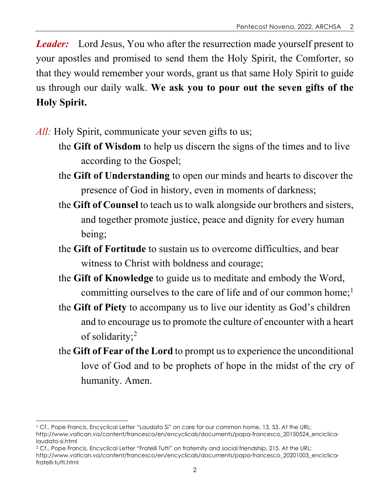*Leader:* Lord Jesus, You who after the resurrection made yourself present to your apostles and promised to send them the Holy Spirit, the Comforter, so that they would remember your words, grant us that same Holy Spirit to guide us through our daily walk. **We ask you to pour out the seven gifts of the Holy Spirit.**

- *All:* Holy Spirit, communicate your seven gifts to us;
	- the **Gift of Wisdom** to help us discern the signs of the times and to live according to the Gospel;
	- the **Gift of Understanding** to open our minds and hearts to discover the presence of God in history, even in moments of darkness;
	- the **Gift of Counsel** to teach us to walk alongside our brothers and sisters, and together promote justice, peace and dignity for every human being;
	- the **Gift of Fortitude** to sustain us to overcome difficulties, and bear witness to Christ with boldness and courage;
	- the **Gift of Knowledge** to guide us to meditate and embody the Word, committing ourselves to the care of life and of our common home;<sup>[1](#page-1-0)</sup>
	- the **Gift of Piety** to accompany us to live our identity as God's children and to encourage us to promote the culture of encounter with a heart of solidarity;[2](#page-1-1)
	- the **Gift of Fear of the Lord** to prompt us to experience the unconditional love of God and to be prophets of hope in the midst of the cry of humanity. Amen.

<span id="page-1-0"></span><sup>1</sup> Cf., Pope Francis, Encyclical Letter "Laudato Si" on care for our common home, 13, 53. At the URL: http://www.vatican.va/content/francesco/en/encyclicals/documents/papa-francesco\_20150524\_enciclicalaudato-si.html

<span id="page-1-1"></span><sup>2</sup> Cf., Pope Francis, Encyclical Letter "Fratelli Tutti" on fraternity and social friendship, 215. At the URL:

http://www.vatican.va/content/francesco/en/encyclicals/documents/papa-francesco\_20201003\_enciclicafratelli-tutti.html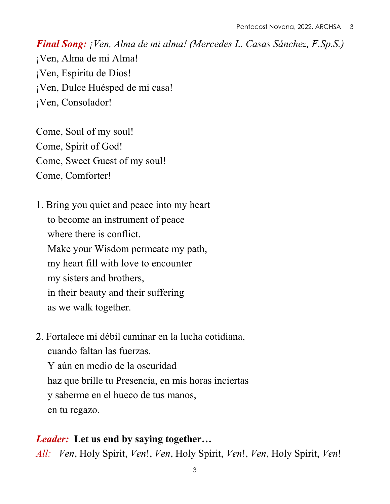Come, Soul of my soul! Come, Spirit of God! Come, Sweet Guest of my soul! Come, Comforter!

1. Bring you quiet and peace into my heart to become an instrument of peace where there is conflict. Make your Wisdom permeate my path, my heart fill with love to encounter my sisters and brothers, in their beauty and their suffering as we walk together.

2. Fortalece mi débil caminar en la lucha cotidiana, cuando faltan las fuerzas. Y aún en medio de la oscuridad haz que brille tu Presencia, en mis horas inciertas y saberme en el hueco de tus manos, en tu regazo.

#### *Leader:* **Let us end by saying together…**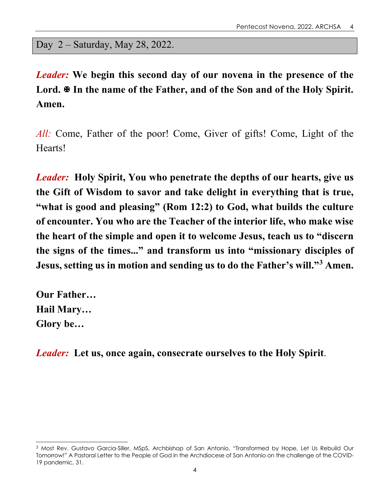#### Day 2 – Saturday, May 28, 2022.

*Leader:* **We begin this second day of our novena in the presence of the**  Lord.  $\mathbb F$  In the name of the Father, and of the Son and of the Holy Spirit. **Amen.**

*All:* Come, Father of the poor! Come, Giver of gifts! Come, Light of the Hearts!

*Leader:* **Holy Spirit, You who penetrate the depths of our hearts, give us the Gift of Wisdom to savor and take delight in everything that is true, "what is good and pleasing" (Rom 12:2) to God, what builds the culture of encounter. You who are the Teacher of the interior life, who make wise the heart of the simple and open it to welcome Jesus, teach us to "discern the signs of the times..." and transform us into "missionary disciples of Jesus, setting us in motion and sending us to do the Father's will."[3](#page-3-0) Amen.**

**Our Father… Hail Mary… Glory be…**

*Leader:* **Let us, once again, consecrate ourselves to the Holy Spirit**.

<span id="page-3-0"></span><sup>3</sup> Most Rev. Gustavo Garcia-Siller, MSpS, Archbishop of San Antonio, "Transformed by Hope, Let Us Rebuild Our Tomorrow!" A Pastoral Letter to the People of God in the Archdiocese of San Antonio on the challenge of the COVID-19 pandemic, 31.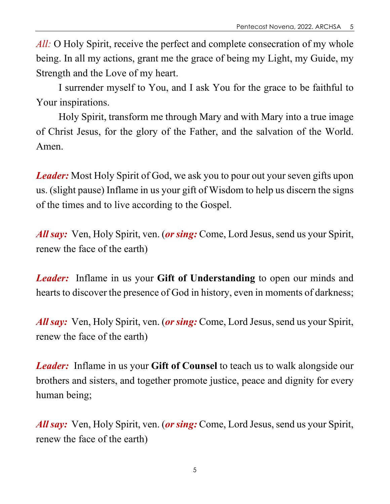*All:* O Holy Spirit, receive the perfect and complete consecration of my whole being. In all my actions, grant me the grace of being my Light, my Guide, my Strength and the Love of my heart.

I surrender myself to You, and I ask You for the grace to be faithful to Your inspirations.

Holy Spirit, transform me through Mary and with Mary into a true image of Christ Jesus, for the glory of the Father, and the salvation of the World. Amen.

*Leader:* Most Holy Spirit of God, we ask you to pour out your seven gifts upon us. (slight pause) Inflame in us your gift of Wisdom to help us discern the signs of the times and to live according to the Gospel.

*All say:* Ven, Holy Spirit, ven. (*or sing:* Come, Lord Jesus, send us your Spirit, renew the face of the earth)

*Leader:* Inflame in us your **Gift of Understanding** to open our minds and hearts to discover the presence of God in history, even in moments of darkness;

*All say:* Ven, Holy Spirit, ven. (*or sing:* Come, Lord Jesus, send us your Spirit, renew the face of the earth)

*Leader:* Inflame in us your **Gift of Counsel** to teach us to walk alongside our brothers and sisters, and together promote justice, peace and dignity for every human being;

*All say:* Ven, Holy Spirit, ven. (*or sing:* Come, Lord Jesus, send us your Spirit, renew the face of the earth)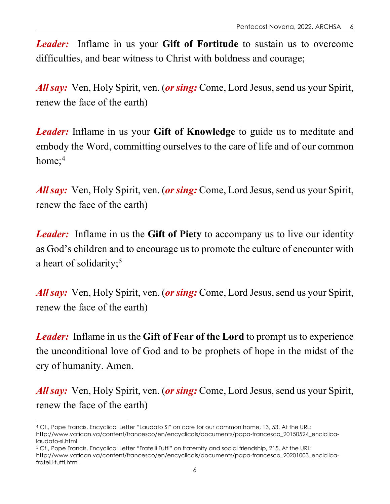*Leader:* Inflame in us your **Gift of Fortitude** to sustain us to overcome difficulties, and bear witness to Christ with boldness and courage;

*All say:* Ven, Holy Spirit, ven. (*or sing:* Come, Lord Jesus, send us your Spirit, renew the face of the earth)

*Leader:* Inflame in us your **Gift of Knowledge** to guide us to meditate and embody the Word, committing ourselves to the care of life and of our common home; $4$ 

*All say:* Ven, Holy Spirit, ven. (*or sing:* Come, Lord Jesus, send us your Spirit, renew the face of the earth)

*Leader:* Inflame in us the **Gift of Piety** to accompany us to live our identity as God's children and to encourage us to promote the culture of encounter with a heart of solidarity;<sup>[5](#page-5-1)</sup>

*All say:* Ven, Holy Spirit, ven. (*or sing:* Come, Lord Jesus, send us your Spirit, renew the face of the earth)

*Leader:* Inflame in us the **Gift of Fear of the Lord** to prompt us to experience the unconditional love of God and to be prophets of hope in the midst of the cry of humanity. Amen.

*All say:* Ven, Holy Spirit, ven. (*or sing:* Come, Lord Jesus, send us your Spirit, renew the face of the earth)

<span id="page-5-0"></span><sup>4</sup> Cf., Pope Francis, Encyclical Letter "Laudato Si" on care for our common home, 13, 53. At the URL: http://www.vatican.va/content/francesco/en/encyclicals/documents/papa-francesco\_20150524\_enciclicalaudato-si.html

<span id="page-5-1"></span><sup>5</sup> Cf., Pope Francis, Encyclical Letter "Fratelli Tutti" on fraternity and social friendship, 215. At the URL: http://www.vatican.va/content/francesco/en/encyclicals/documents/papa-francesco\_20201003\_enciclicafratelli-tutti.html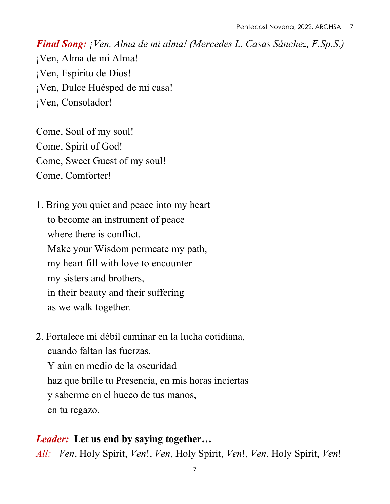Come, Soul of my soul! Come, Spirit of God! Come, Sweet Guest of my soul! Come, Comforter!

1. Bring you quiet and peace into my heart to become an instrument of peace where there is conflict. Make your Wisdom permeate my path, my heart fill with love to encounter my sisters and brothers, in their beauty and their suffering as we walk together.

2. Fortalece mi débil caminar en la lucha cotidiana, cuando faltan las fuerzas. Y aún en medio de la oscuridad haz que brille tu Presencia, en mis horas inciertas y saberme en el hueco de tus manos, en tu regazo.

#### *Leader:* **Let us end by saying together…**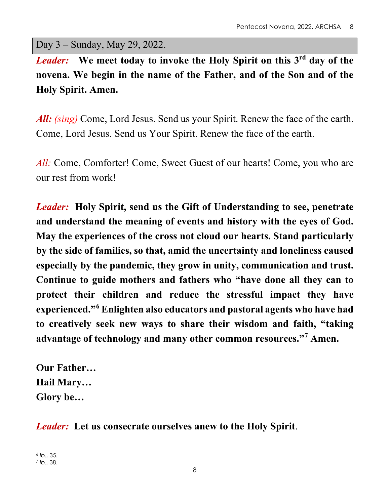Day 3 – Sunday, May 29, 2022.

*Leader:* **We meet today to invoke the Holy Spirit on this 3rd day of the novena. We begin in the name of the Father, and of the Son and of the Holy Spirit. Amen.**

*All: (sing)* Come, Lord Jesus. Send us your Spirit. Renew the face of the earth. Come, Lord Jesus. Send us Your Spirit. Renew the face of the earth.

*All:* Come, Comforter! Come, Sweet Guest of our hearts! Come, you who are our rest from work!

*Leader:* **Holy Spirit, send us the Gift of Understanding to see, penetrate and understand the meaning of events and history with the eyes of God. May the experiences of the cross not cloud our hearts. Stand particularly by the side of families, so that, amid the uncertainty and loneliness caused especially by the pandemic, they grow in unity, communication and trust. Continue to guide mothers and fathers who "have done all they can to protect their children and reduce the stressful impact they have experienced."[6](#page-7-0) Enlighten also educators and pastoral agents who have had to creatively seek new ways to share their wisdom and faith, "taking advantage of technology and many other common resources."[7](#page-7-1) Amen.**

**Our Father… Hail Mary… Glory be…**

*Leader:* **Let us consecrate ourselves anew to the Holy Spirit**.

<span id="page-7-0"></span><sup>6</sup> *Ib.*, 35.

<span id="page-7-1"></span><sup>7</sup> *Ib.*, 38.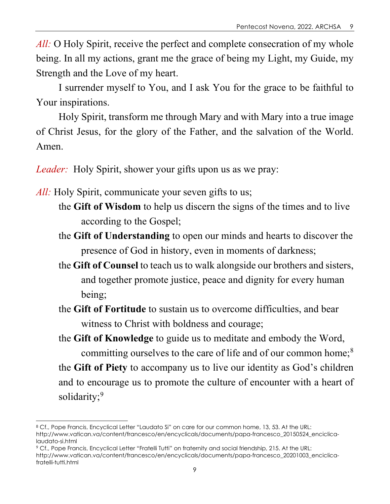*All:* O Holy Spirit, receive the perfect and complete consecration of my whole being. In all my actions, grant me the grace of being my Light, my Guide, my Strength and the Love of my heart.

I surrender myself to You, and I ask You for the grace to be faithful to Your inspirations.

Holy Spirit, transform me through Mary and with Mary into a true image of Christ Jesus, for the glory of the Father, and the salvation of the World. Amen.

*Leader:* Holy Spirit, shower your gifts upon us as we pray:

*All:* Holy Spirit, communicate your seven gifts to us;

- the **Gift of Wisdom** to help us discern the signs of the times and to live according to the Gospel;
- the **Gift of Understanding** to open our minds and hearts to discover the presence of God in history, even in moments of darkness;
- the **Gift of Counsel** to teach us to walk alongside our brothers and sisters, and together promote justice, peace and dignity for every human being;
- the **Gift of Fortitude** to sustain us to overcome difficulties, and bear witness to Christ with boldness and courage;

the **Gift of Knowledge** to guide us to meditate and embody the Word, committing ourselves to the care of life and of our common home;<sup>[8](#page-8-0)</sup> the **Gift of Piety** to accompany us to live our identity as God's children and to encourage us to promote the culture of encounter with a heart of solidarity;<sup>[9](#page-8-1)</sup>

<span id="page-8-0"></span><sup>8</sup> Cf., Pope Francis, Encyclical Letter "Laudato Si" on care for our common home, 13, 53. At the URL: http://www.vatican.va/content/francesco/en/encyclicals/documents/papa-francesco\_20150524\_enciclicalaudato-si.html

<span id="page-8-1"></span><sup>9</sup> Cf., Pope Francis, Encyclical Letter "Fratelli Tutti" on fraternity and social friendship, 215. At the URL:

http://www.vatican.va/content/francesco/en/encyclicals/documents/papa-francesco\_20201003\_enciclicafratelli-tutti.html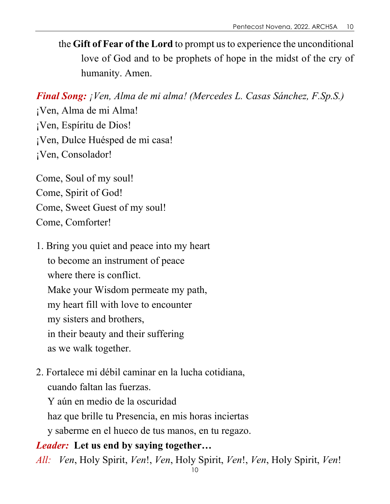the **Gift of Fear of the Lord** to prompt us to experience the unconditional love of God and to be prophets of hope in the midst of the cry of humanity. Amen.

*Final Song: ¡Ven, Alma de mi alma! (Mercedes L. Casas Sánchez, F.Sp.S.)*

¡Ven, Alma de mi Alma! ¡Ven, Espíritu de Dios! ¡Ven, Dulce Huésped de mi casa! ¡Ven, Consolador!

Come, Soul of my soul! Come, Spirit of God! Come, Sweet Guest of my soul! Come, Comforter!

- 1. Bring you quiet and peace into my heart to become an instrument of peace where there is conflict. Make your Wisdom permeate my path, my heart fill with love to encounter my sisters and brothers, in their beauty and their suffering as we walk together.
- 2. Fortalece mi débil caminar en la lucha cotidiana, cuando faltan las fuerzas.

Y aún en medio de la oscuridad haz que brille tu Presencia, en mis horas inciertas y saberme en el hueco de tus manos, en tu regazo.

#### *Leader:* **Let us end by saying together…**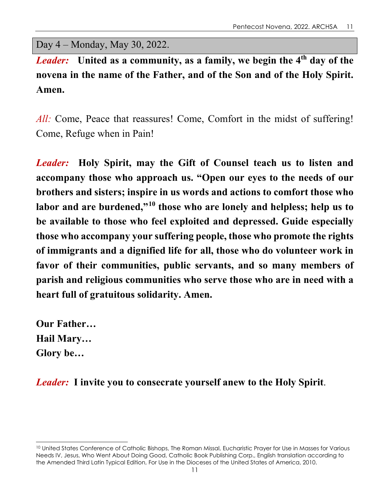Day 4 – Monday, May 30, 2022.

*Leader:* **United as a community, as a family, we begin the 4th day of the novena in the name of the Father, and of the Son and of the Holy Spirit. Amen.**

*All:* Come, Peace that reassures! Come, Comfort in the midst of suffering! Come, Refuge when in Pain!

*Leader:* **Holy Spirit, may the Gift of Counsel teach us to listen and accompany those who approach us. "Open our eyes to the needs of our brothers and sisters; inspire in us words and actions to comfort those who labor and are burdened,"[10](#page-10-0) those who are lonely and helpless; help us to be available to those who feel exploited and depressed. Guide especially those who accompany your suffering people, those who promote the rights of immigrants and a dignified life for all, those who do volunteer work in favor of their communities, public servants, and so many members of parish and religious communities who serve those who are in need with a heart full of gratuitous solidarity. Amen.**

**Our Father… Hail Mary… Glory be…**

*Leader:* **I invite you to consecrate yourself anew to the Holy Spirit**.

<span id="page-10-0"></span><sup>&</sup>lt;sup>10</sup> United States Conference of Catholic Bishops, The Roman Missal, Eucharistic Prayer for Use in Masses for Various Needs IV, Jesus, Who Went About Doing Good, Catholic Book Publishing Corp., English translation according to the Amended Third Latin Typical Edition, For Use in the Dioceses of the United States of America, 2010.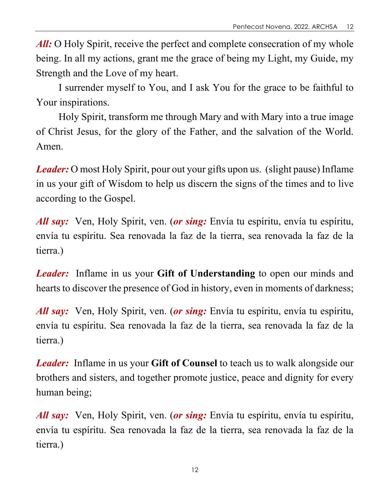All: O Holy Spirit, receive the perfect and complete consecration of my whole being. In all my actions, grant me the grace of being my Light, my Guide, my Strength and the Love of my heart.

I surrender myself to You, and I ask You for the grace to be faithful to Your inspirations.

Holy Spirit, transform me through Mary and with Mary into a true image of Christ Jesus, for the glory of the Father, and the salvation of the World. Amen.

*Leader:* O most Holy Spirit, pour out your gifts upon us. (slight pause) Inflame in us your gift of Wisdom to help us discern the signs of the times and to live according to the Gospel.

*All say:* Ven, Holy Spirit, ven. (*or sing:* Envía tu espíritu, envía tu espíritu, envía tu espíritu. Sea renovada la faz de la tierra, sea renovada la faz de la tierra.)

*Leader:* Inflame in us your **Gift of Understanding** to open our minds and hearts to discover the presence of God in history, even in moments of darkness;

*All say:* Ven, Holy Spirit, ven. (*or sing:* Envía tu espíritu, envía tu espíritu, envía tu espíritu. Sea renovada la faz de la tierra, sea renovada la faz de la tierra.)

*Leader:* Inflame in us your **Gift of Counsel** to teach us to walk alongside our brothers and sisters, and together promote justice, peace and dignity for every human being;

*All say:* Ven, Holy Spirit, ven. (*or sing:* Envía tu espíritu, envía tu espíritu, envía tu espíritu. Sea renovada la faz de la tierra, sea renovada la faz de la tierra.)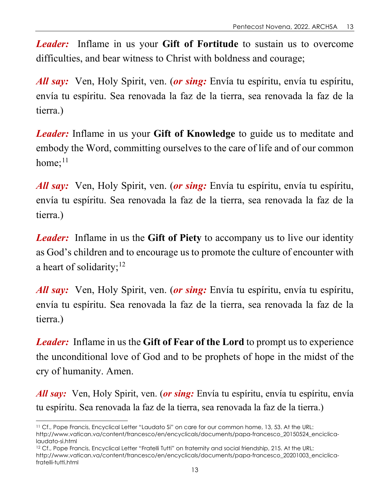*Leader:* Inflame in us your **Gift of Fortitude** to sustain us to overcome difficulties, and bear witness to Christ with boldness and courage;

*All say:* Ven, Holy Spirit, ven. (*or sing:* Envía tu espíritu, envía tu espíritu, envía tu espíritu. Sea renovada la faz de la tierra, sea renovada la faz de la tierra.)

*Leader:* Inflame in us your **Gift of Knowledge** to guide us to meditate and embody the Word, committing ourselves to the care of life and of our common home; $^{11}$  $^{11}$  $^{11}$ 

*All say:* Ven, Holy Spirit, ven. (*or sing:* Envía tu espíritu, envía tu espíritu, envía tu espíritu. Sea renovada la faz de la tierra, sea renovada la faz de la tierra.)

*Leader:* Inflame in us the **Gift of Piety** to accompany us to live our identity as God's children and to encourage us to promote the culture of encounter with a heart of solidarity;  $12$ 

*All say:* Ven, Holy Spirit, ven. (*or sing:* Envía tu espíritu, envía tu espíritu, envía tu espíritu. Sea renovada la faz de la tierra, sea renovada la faz de la tierra.)

*Leader:* Inflame in us the **Gift of Fear of the Lord** to prompt us to experience the unconditional love of God and to be prophets of hope in the midst of the cry of humanity. Amen.

*All say:* Ven, Holy Spirit, ven. (*or sing:* Envía tu espíritu, envía tu espíritu, envía tu espíritu. Sea renovada la faz de la tierra, sea renovada la faz de la tierra.)

<span id="page-12-0"></span><sup>11</sup> Cf., Pope Francis, Encyclical Letter "Laudato Si" on care for our common home, 13, 53. At the URL: http://www.vatican.va/content/francesco/en/encyclicals/documents/papa-francesco\_20150524\_enciclicalaudato-si.html

<span id="page-12-1"></span><sup>&</sup>lt;sup>12</sup> Cf., Pope Francis, Encyclical Letter "Fratelli Tutti" on fraternity and social friendship, 215. At the URL: http://www.vatican.va/content/francesco/en/encyclicals/documents/papa-francesco\_20201003\_enciclicafratelli-tutti.html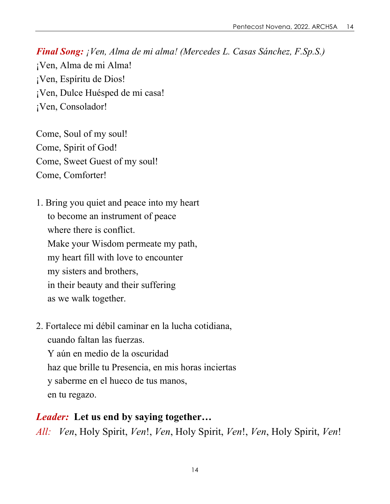Come, Soul of my soul! Come, Spirit of God! Come, Sweet Guest of my soul! Come, Comforter!

1. Bring you quiet and peace into my heart to become an instrument of peace where there is conflict. Make your Wisdom permeate my path, my heart fill with love to encounter my sisters and brothers, in their beauty and their suffering as we walk together.

2. Fortalece mi débil caminar en la lucha cotidiana, cuando faltan las fuerzas.

Y aún en medio de la oscuridad haz que brille tu Presencia, en mis horas inciertas y saberme en el hueco de tus manos, en tu regazo.

#### *Leader:* **Let us end by saying together…**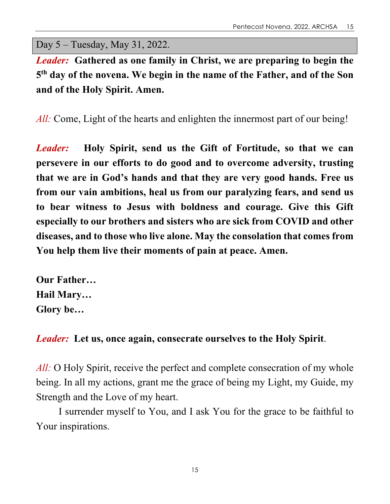Day 5 – Tuesday, May 31, 2022.

*Leader:* **Gathered as one family in Christ, we are preparing to begin the 5th day of the novena. We begin in the name of the Father, and of the Son and of the Holy Spirit. Amen.**

*All:* Come, Light of the hearts and enlighten the innermost part of our being!

*Leader:* **Holy Spirit, send us the Gift of Fortitude, so that we can persevere in our efforts to do good and to overcome adversity, trusting that we are in God's hands and that they are very good hands. Free us from our vain ambitions, heal us from our paralyzing fears, and send us to bear witness to Jesus with boldness and courage. Give this Gift especially to our brothers and sisters who are sick from COVID and other diseases, and to those who live alone. May the consolation that comes from You help them live their moments of pain at peace. Amen.**

**Our Father… Hail Mary… Glory be…**

#### *Leader:* **Let us, once again, consecrate ourselves to the Holy Spirit**.

*All:* O Holy Spirit, receive the perfect and complete consecration of my whole being. In all my actions, grant me the grace of being my Light, my Guide, my Strength and the Love of my heart.

I surrender myself to You, and I ask You for the grace to be faithful to Your inspirations.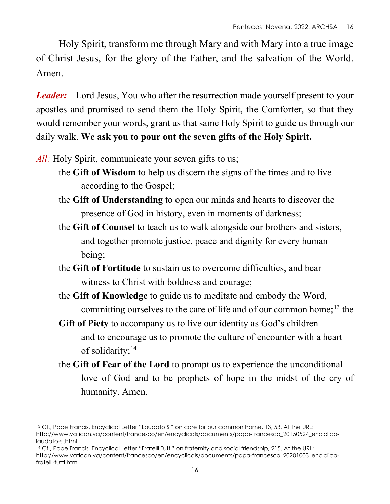Holy Spirit, transform me through Mary and with Mary into a true image of Christ Jesus, for the glory of the Father, and the salvation of the World. Amen.

*Leader:* Lord Jesus, You who after the resurrection made yourself present to your apostles and promised to send them the Holy Spirit, the Comforter, so that they would remember your words, grant us that same Holy Spirit to guide us through our daily walk. **We ask you to pour out the seven gifts of the Holy Spirit.**

*All:* Holy Spirit, communicate your seven gifts to us;

- the **Gift of Wisdom** to help us discern the signs of the times and to live according to the Gospel;
- the **Gift of Understanding** to open our minds and hearts to discover the presence of God in history, even in moments of darkness;
- the **Gift of Counsel** to teach us to walk alongside our brothers and sisters, and together promote justice, peace and dignity for every human being;
- the **Gift of Fortitude** to sustain us to overcome difficulties, and bear witness to Christ with boldness and courage;
- the **Gift of Knowledge** to guide us to meditate and embody the Word, committing ourselves to the care of life and of our common home;<sup>[13](#page-15-0)</sup> the
- **Gift of Piety** to accompany us to live our identity as God's children and to encourage us to promote the culture of encounter with a heart of solidarity;<sup>[14](#page-15-1)</sup>
- the **Gift of Fear of the Lord** to prompt us to experience the unconditional love of God and to be prophets of hope in the midst of the cry of humanity. Amen.

<span id="page-15-1"></span><sup>14</sup> Cf., Pope Francis, Encyclical Letter "Fratelli Tutti" on fraternity and social friendship, 215. At the URL: http://www.vatican.va/content/francesco/en/encyclicals/documents/papa-francesco\_20201003\_enciclicafratelli-tutti.html

<span id="page-15-0"></span><sup>13</sup> Cf., Pope Francis, Encyclical Letter "Laudato Si" on care for our common home, 13, 53. At the URL: http://www.vatican.va/content/francesco/en/encyclicals/documents/papa-francesco\_20150524\_enciclicalaudato-si.html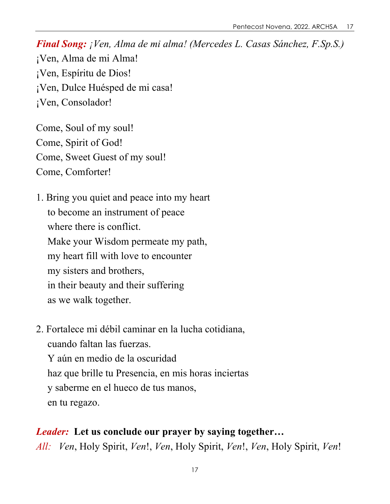Come, Soul of my soul! Come, Spirit of God! Come, Sweet Guest of my soul! Come, Comforter!

1. Bring you quiet and peace into my heart to become an instrument of peace where there is conflict. Make your Wisdom permeate my path, my heart fill with love to encounter my sisters and brothers, in their beauty and their suffering as we walk together.

2. Fortalece mi débil caminar en la lucha cotidiana, cuando faltan las fuerzas. Y aún en medio de la oscuridad haz que brille tu Presencia, en mis horas inciertas y saberme en el hueco de tus manos, en tu regazo.

## *Leader:* **Let us conclude our prayer by saying together…**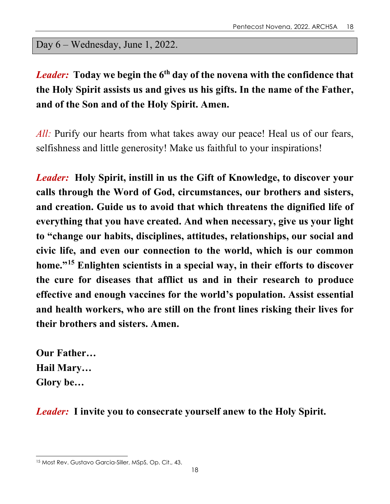Day 6 – Wednesday, June 1, 2022.

# *Leader:* **Today we begin the 6th day of the novena with the confidence that the Holy Spirit assists us and gives us his gifts. In the name of the Father, and of the Son and of the Holy Spirit. Amen.**

All: Purify our hearts from what takes away our peace! Heal us of our fears, selfishness and little generosity! Make us faithful to your inspirations!

*Leader:* **Holy Spirit, instill in us the Gift of Knowledge, to discover your calls through the Word of God, circumstances, our brothers and sisters, and creation. Guide us to avoid that which threatens the dignified life of everything that you have created. And when necessary, give us your light to "change our habits, disciplines, attitudes, relationships, our social and civic life, and even our connection to the world, which is our common home."[15](#page-17-0) Enlighten scientists in a special way, in their efforts to discover the cure for diseases that afflict us and in their research to produce effective and enough vaccines for the world's population. Assist essential and health workers, who are still on the front lines risking their lives for their brothers and sisters. Amen.**

**Our Father… Hail Mary… Glory be…**

*Leader:* **I invite you to consecrate yourself anew to the Holy Spirit.**

<span id="page-17-0"></span><sup>15</sup> Most Rev. Gustavo Garcia-Siller, MSpS, Op. Cit., 43.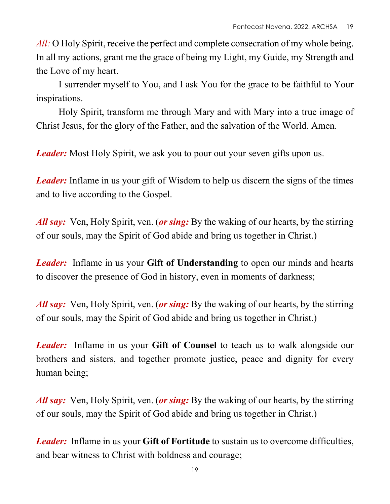*All:* O Holy Spirit, receive the perfect and complete consecration of my whole being. In all my actions, grant me the grace of being my Light, my Guide, my Strength and the Love of my heart.

I surrender myself to You, and I ask You for the grace to be faithful to Your inspirations.

Holy Spirit, transform me through Mary and with Mary into a true image of Christ Jesus, for the glory of the Father, and the salvation of the World. Amen.

*Leader:* Most Holy Spirit, we ask you to pour out your seven gifts upon us.

*Leader:* Inflame in us your gift of Wisdom to help us discern the signs of the times and to live according to the Gospel.

*All say:* Ven, Holy Spirit, ven. (*or sing:* By the waking of our hearts, by the stirring of our souls, may the Spirit of God abide and bring us together in Christ.)

*Leader:* Inflame in us your **Gift of Understanding** to open our minds and hearts to discover the presence of God in history, even in moments of darkness;

*All say:* Ven, Holy Spirit, ven. (*or sing:* By the waking of our hearts, by the stirring of our souls, may the Spirit of God abide and bring us together in Christ.)

*Leader:* Inflame in us your **Gift of Counsel** to teach us to walk alongside our brothers and sisters, and together promote justice, peace and dignity for every human being;

*All say:* Ven, Holy Spirit, ven. (*or sing:* By the waking of our hearts, by the stirring of our souls, may the Spirit of God abide and bring us together in Christ.)

*Leader:* Inflame in us your **Gift of Fortitude** to sustain us to overcome difficulties, and bear witness to Christ with boldness and courage;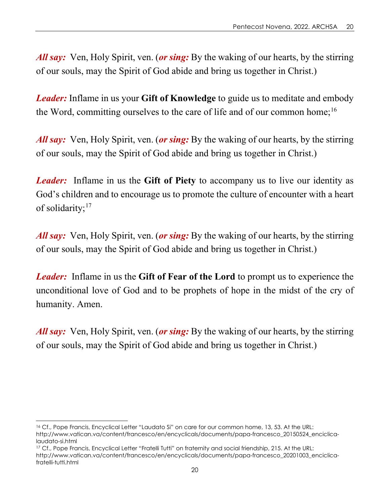*All say:* Ven, Holy Spirit, ven. (*or sing:* By the waking of our hearts, by the stirring of our souls, may the Spirit of God abide and bring us together in Christ.)

*Leader:* Inflame in us your **Gift of Knowledge** to guide us to meditate and embody the Word, committing ourselves to the care of life and of our common home;<sup>16</sup>

*All say:* Ven, Holy Spirit, ven. (*or sing:* By the waking of our hearts, by the stirring of our souls, may the Spirit of God abide and bring us together in Christ.)

*Leader:* Inflame in us the **Gift of Piety** to accompany us to live our identity as God's children and to encourage us to promote the culture of encounter with a heart of solidarity;<sup>[17](#page-19-1)</sup>

*All say:* Ven, Holy Spirit, ven. (*or sing:* By the waking of our hearts, by the stirring of our souls, may the Spirit of God abide and bring us together in Christ.)

*Leader:* Inflame in us the **Gift of Fear of the Lord** to prompt us to experience the unconditional love of God and to be prophets of hope in the midst of the cry of humanity. Amen.

*All say:* Ven, Holy Spirit, ven. (*or sing:* By the waking of our hearts, by the stirring of our souls, may the Spirit of God abide and bring us together in Christ.)

<span id="page-19-0"></span><sup>16</sup> Cf., Pope Francis, Encyclical Letter "Laudato Si" on care for our common home, 13, 53. At the URL: http://www.vatican.va/content/francesco/en/encyclicals/documents/papa-francesco\_20150524\_enciclicalaudato-si.html

<span id="page-19-1"></span><sup>17</sup> Cf., Pope Francis, Encyclical Letter "Fratelli Tutti" on fraternity and social friendship, 215. At the URL: http://www.vatican.va/content/francesco/en/encyclicals/documents/papa-francesco\_20201003\_enciclicafratelli-tutti.html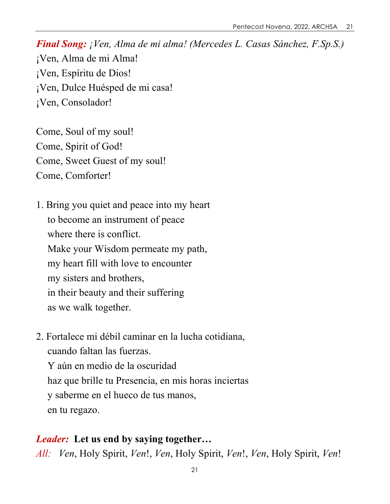Come, Soul of my soul! Come, Spirit of God! Come, Sweet Guest of my soul! Come, Comforter!

1. Bring you quiet and peace into my heart to become an instrument of peace where there is conflict. Make your Wisdom permeate my path, my heart fill with love to encounter my sisters and brothers, in their beauty and their suffering as we walk together.

2. Fortalece mi débil caminar en la lucha cotidiana, cuando faltan las fuerzas. Y aún en medio de la oscuridad haz que brille tu Presencia, en mis horas inciertas y saberme en el hueco de tus manos, en tu regazo.

#### *Leader:* **Let us end by saying together…**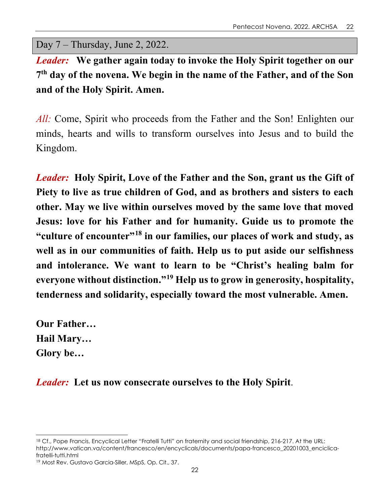Day 7 – Thursday, June 2, 2022.

*Leader:* **We gather again today to invoke the Holy Spirit together on our 7th day of the novena. We begin in the name of the Father, and of the Son and of the Holy Spirit. Amen.**

*All:* Come, Spirit who proceeds from the Father and the Son! Enlighten our minds, hearts and wills to transform ourselves into Jesus and to build the Kingdom.

*Leader:* **Holy Spirit, Love of the Father and the Son, grant us the Gift of Piety to live as true children of God, and as brothers and sisters to each other. May we live within ourselves moved by the same love that moved Jesus: love for his Father and for humanity. Guide us to promote the "culture of encounter"[18](#page-21-0) in our families, our places of work and study, as well as in our communities of faith. Help us to put aside our selfishness and intolerance. We want to learn to be "Christ's healing balm for everyone without distinction."[19](#page-21-1) Help us to grow in generosity, hospitality, tenderness and solidarity, especially toward the most vulnerable. Amen.**

**Our Father… Hail Mary… Glory be…**

## *Leader:* **Let us now consecrate ourselves to the Holy Spirit**.

<span id="page-21-0"></span><sup>18</sup> Cf., Pope Francis, Encyclical Letter "Fratelli Tutti" on fraternity and social friendship, 216-217. At the URL: http://www.vatican.va/content/francesco/en/encyclicals/documents/papa-francesco\_20201003\_enciclicafratelli-tutti.html

<span id="page-21-1"></span><sup>19</sup> Most Rev. Gustavo Garcia-Siller, MSpS, Op. Cit., 37.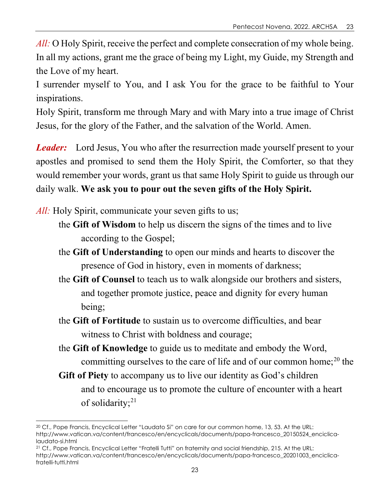*All:* O Holy Spirit, receive the perfect and complete consecration of my whole being. In all my actions, grant me the grace of being my Light, my Guide, my Strength and the Love of my heart.

I surrender myself to You, and I ask You for the grace to be faithful to Your inspirations.

Holy Spirit, transform me through Mary and with Mary into a true image of Christ Jesus, for the glory of the Father, and the salvation of the World. Amen.

*Leader:* Lord Jesus, You who after the resurrection made yourself present to your apostles and promised to send them the Holy Spirit, the Comforter, so that they would remember your words, grant us that same Holy Spirit to guide us through our daily walk. **We ask you to pour out the seven gifts of the Holy Spirit.**

*All:* Holy Spirit, communicate your seven gifts to us;

- the **Gift of Wisdom** to help us discern the signs of the times and to live according to the Gospel;
- the **Gift of Understanding** to open our minds and hearts to discover the presence of God in history, even in moments of darkness;
- the **Gift of Counsel** to teach us to walk alongside our brothers and sisters, and together promote justice, peace and dignity for every human being;
- the **Gift of Fortitude** to sustain us to overcome difficulties, and bear witness to Christ with boldness and courage;
- the **Gift of Knowledge** to guide us to meditate and embody the Word, committing ourselves to the care of life and of our common home; $^{20}$  $^{20}$  $^{20}$  the
- **Gift of Piety** to accompany us to live our identity as God's children and to encourage us to promote the culture of encounter with a heart of solidarity; $^{21}$  $^{21}$  $^{21}$

<span id="page-22-1"></span><sup>21</sup> Cf., Pope Francis, Encyclical Letter "Fratelli Tutti" on fraternity and social friendship, 215. At the URL: http://www.vatican.va/content/francesco/en/encyclicals/documents/papa-francesco\_20201003\_enciclicafratelli-tutti.html

<span id="page-22-0"></span><sup>20</sup> Cf., Pope Francis, Encyclical Letter "Laudato Si" on care for our common home, 13, 53. At the URL: http://www.vatican.va/content/francesco/en/encyclicals/documents/papa-francesco\_20150524\_enciclicalaudato-si.html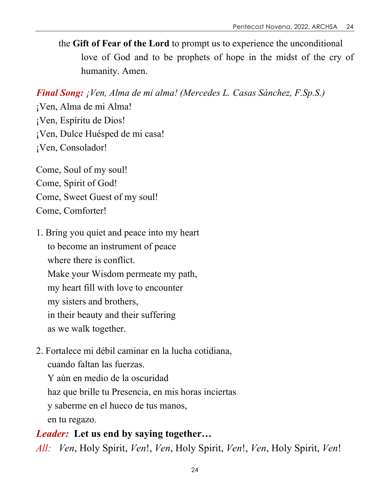the **Gift of Fear of the Lord** to prompt us to experience the unconditional love of God and to be prophets of hope in the midst of the cry of humanity. Amen.

*Final Song: ¡Ven, Alma de mi alma! (Mercedes L. Casas Sánchez, F.Sp.S.)*

¡Ven, Alma de mi Alma! ¡Ven, Espíritu de Dios! ¡Ven, Dulce Huésped de mi casa! ¡Ven, Consolador!

Come, Soul of my soul! Come, Spirit of God! Come, Sweet Guest of my soul! Come, Comforter!

- 1. Bring you quiet and peace into my heart to become an instrument of peace where there is conflict. Make your Wisdom permeate my path, my heart fill with love to encounter my sisters and brothers, in their beauty and their suffering as we walk together.
- 2. Fortalece mi débil caminar en la lucha cotidiana, cuando faltan las fuerzas.

Y aún en medio de la oscuridad haz que brille tu Presencia, en mis horas inciertas y saberme en el hueco de tus manos, en tu regazo.

*Leader:* **Let us end by saying together…** *All: Ven*, Holy Spirit, *Ven*!, *Ven*, Holy Spirit, *Ven*!, *Ven*, Holy Spirit, *Ven*!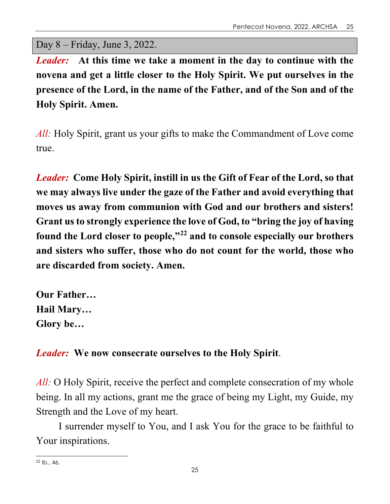Day 8 – Friday, June 3, 2022.

*Leader:* **At this time we take a moment in the day to continue with the novena and get a little closer to the Holy Spirit. We put ourselves in the presence of the Lord, in the name of the Father, and of the Son and of the Holy Spirit. Amen.**

*All:* Holy Spirit, grant us your gifts to make the Commandment of Love come true.

*Leader:* **Come Holy Spirit, instill in us the Gift of Fear of the Lord, so that we may always live under the gaze of the Father and avoid everything that moves us away from communion with God and our brothers and sisters! Grant us to strongly experience the love of God, to "bring the joy of having found the Lord closer to people,"[22](#page-24-0) and to console especially our brothers and sisters who suffer, those who do not count for the world, those who are discarded from society. Amen.**

**Our Father… Hail Mary… Glory be…**

# *Leader:* **We now consecrate ourselves to the Holy Spirit**.

*All:* O Holy Spirit, receive the perfect and complete consecration of my whole being. In all my actions, grant me the grace of being my Light, my Guide, my Strength and the Love of my heart.

I surrender myself to You, and I ask You for the grace to be faithful to Your inspirations.

<span id="page-24-0"></span> $22$  Ib., 46.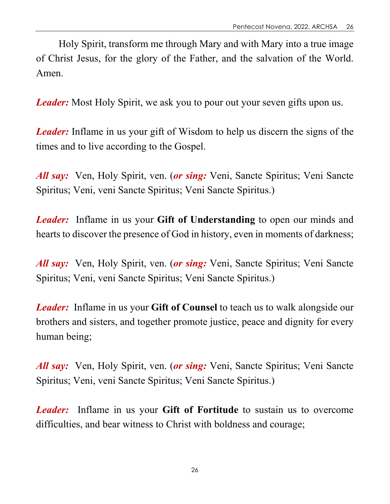Holy Spirit, transform me through Mary and with Mary into a true image of Christ Jesus, for the glory of the Father, and the salvation of the World. Amen.

*Leader:* Most Holy Spirit, we ask you to pour out your seven gifts upon us.

*Leader:* Inflame in us your gift of Wisdom to help us discern the signs of the times and to live according to the Gospel.

*All say:* Ven, Holy Spirit, ven. (*or sing:* Veni, Sancte Spiritus; Veni Sancte Spiritus; Veni, veni Sancte Spiritus; Veni Sancte Spiritus.)

*Leader:* Inflame in us your **Gift of Understanding** to open our minds and hearts to discover the presence of God in history, even in moments of darkness;

*All say:* Ven, Holy Spirit, ven. (*or sing:* Veni, Sancte Spiritus; Veni Sancte Spiritus; Veni, veni Sancte Spiritus; Veni Sancte Spiritus.)

*Leader:* Inflame in us your **Gift of Counsel** to teach us to walk alongside our brothers and sisters, and together promote justice, peace and dignity for every human being;

*All say:* Ven, Holy Spirit, ven. (*or sing:* Veni, Sancte Spiritus; Veni Sancte Spiritus; Veni, veni Sancte Spiritus; Veni Sancte Spiritus.)

*Leader:* Inflame in us your **Gift of Fortitude** to sustain us to overcome difficulties, and bear witness to Christ with boldness and courage;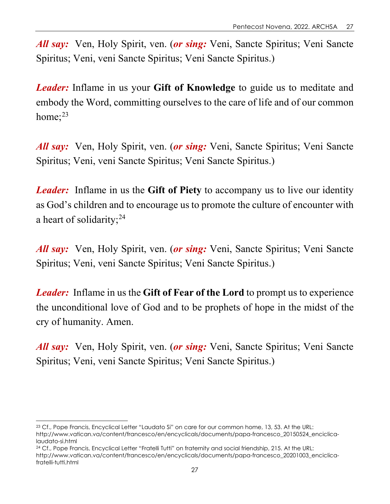*All say:* Ven, Holy Spirit, ven. (*or sing:* Veni, Sancte Spiritus; Veni Sancte Spiritus; Veni, veni Sancte Spiritus; Veni Sancte Spiritus.)

*Leader:* Inflame in us your **Gift of Knowledge** to guide us to meditate and embody the Word, committing ourselves to the care of life and of our common home: $23$ 

*All say:* Ven, Holy Spirit, ven. (*or sing:* Veni, Sancte Spiritus; Veni Sancte Spiritus; Veni, veni Sancte Spiritus; Veni Sancte Spiritus.)

*Leader:* Inflame in us the **Gift of Piety** to accompany us to live our identity as God's children and to encourage us to promote the culture of encounter with a heart of solidarity; $^{24}$ 

*All say:* Ven, Holy Spirit, ven. (*or sing:* Veni, Sancte Spiritus; Veni Sancte Spiritus; Veni, veni Sancte Spiritus; Veni Sancte Spiritus.)

*Leader:* Inflame in us the **Gift of Fear of the Lord** to prompt us to experience the unconditional love of God and to be prophets of hope in the midst of the cry of humanity. Amen.

*All say:* Ven, Holy Spirit, ven. (*or sing:* Veni, Sancte Spiritus; Veni Sancte Spiritus; Veni, veni Sancte Spiritus; Veni Sancte Spiritus.)

<span id="page-26-0"></span><sup>23</sup> Cf., Pope Francis, Encyclical Letter "Laudato Si" on care for our common home, 13, 53. At the URL: http://www.vatican.va/content/francesco/en/encyclicals/documents/papa-francesco\_20150524\_enciclicalaudato-si.html

<span id="page-26-1"></span><sup>&</sup>lt;sup>24</sup> Cf., Pope Francis, Encyclical Letter "Fratelli Tutti" on fraternity and social friendship, 215. At the URL:

http://www.vatican.va/content/francesco/en/encyclicals/documents/papa-francesco\_20201003\_enciclicafratelli-tutti.html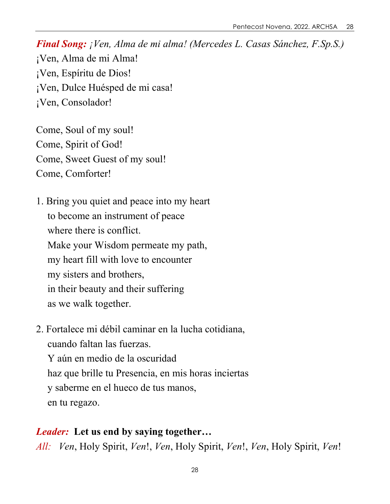Come, Soul of my soul! Come, Spirit of God! Come, Sweet Guest of my soul! Come, Comforter!

1. Bring you quiet and peace into my heart to become an instrument of peace where there is conflict. Make your Wisdom permeate my path, my heart fill with love to encounter my sisters and brothers, in their beauty and their suffering as we walk together.

2. Fortalece mi débil caminar en la lucha cotidiana, cuando faltan las fuerzas. Y aún en medio de la oscuridad haz que brille tu Presencia, en mis horas inciertas y saberme en el hueco de tus manos, en tu regazo.

#### *Leader:* **Let us end by saying together…**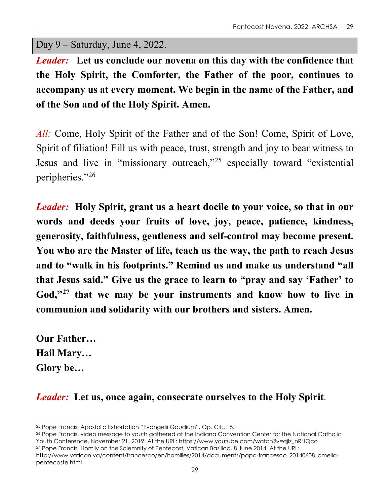Day 9 – Saturday, June 4, 2022.

*Leader:* **Let us conclude our novena on this day with the confidence that the Holy Spirit, the Comforter, the Father of the poor, continues to accompany us at every moment. We begin in the name of the Father, and of the Son and of the Holy Spirit. Amen.**

*All:* Come, Holy Spirit of the Father and of the Son! Come, Spirit of Love, Spirit of filiation! Fill us with peace, trust, strength and joy to bear witness to Jesus and live in "missionary outreach,"[25](#page-28-0) especially toward "existential peripheries."[26](#page-28-1)

*Leader:* **Holy Spirit, grant us a heart docile to your voice, so that in our words and deeds your fruits of love, joy, peace, patience, kindness, generosity, faithfulness, gentleness and self-control may become present. You who are the Master of life, teach us the way, the path to reach Jesus and to "walk in his footprints." Remind us and make us understand "all that Jesus said." Give us the grace to learn to "pray and say 'Father' to God,"[27](#page-28-2) that we may be your instruments and know how to live in communion and solidarity with our brothers and sisters. Amen.**

**Our Father… Hail Mary… Glory be…**

*Leader:* **Let us, once again, consecrate ourselves to the Holy Spirit**.

<span id="page-28-1"></span><sup>26</sup> Pope Francis, video message to youth gathered at the Indiana Convention Center for the National Catholic Youth Conference, November 21, 2019. At the URL: https://www.youtube.com/watch?v=qjlz\_nRHQco

<span id="page-28-2"></span><sup>27</sup> Pope Francis, Homily on the Solemnity of Pentecost, Vatican Basilica, 8 June 2014. At the URL: http://www.vatican.va/content/francesco/en/homilies/2014/documents/papa-francesco\_20140608\_omeliapentecoste.html

<span id="page-28-0"></span><sup>25</sup> Pope Francis, Apostolic Exhortation "Evangelii Gaudium", Op. Cit., 15.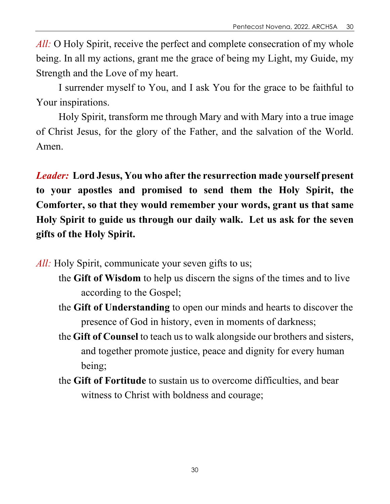*All:* O Holy Spirit, receive the perfect and complete consecration of my whole being. In all my actions, grant me the grace of being my Light, my Guide, my Strength and the Love of my heart.

I surrender myself to You, and I ask You for the grace to be faithful to Your inspirations.

Holy Spirit, transform me through Mary and with Mary into a true image of Christ Jesus, for the glory of the Father, and the salvation of the World. Amen.

*Leader:* **Lord Jesus, You who after the resurrection made yourself present to your apostles and promised to send them the Holy Spirit, the Comforter, so that they would remember your words, grant us that same Holy Spirit to guide us through our daily walk. Let us ask for the seven gifts of the Holy Spirit.**

*All:* Holy Spirit, communicate your seven gifts to us;

- the **Gift of Wisdom** to help us discern the signs of the times and to live according to the Gospel;
- the **Gift of Understanding** to open our minds and hearts to discover the presence of God in history, even in moments of darkness;
- the **Gift of Counsel** to teach us to walk alongside our brothers and sisters, and together promote justice, peace and dignity for every human being;
- the **Gift of Fortitude** to sustain us to overcome difficulties, and bear witness to Christ with boldness and courage;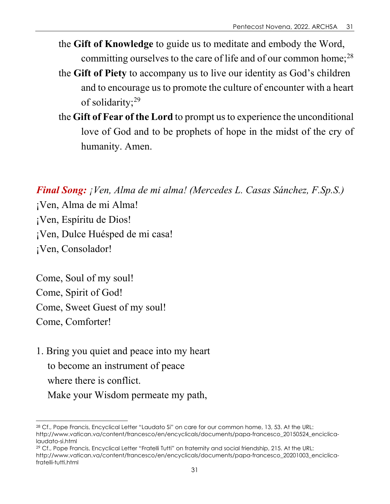- the **Gift of Knowledge** to guide us to meditate and embody the Word, committing ourselves to the care of life and of our common home;<sup>[28](#page-30-0)</sup>
- the **Gift of Piety** to accompany us to live our identity as God's children and to encourage us to promote the culture of encounter with a heart of solidarity;<sup>[29](#page-30-1)</sup>
- the **Gift of Fear of the Lord** to prompt us to experience the unconditional love of God and to be prophets of hope in the midst of the cry of humanity. Amen.

Come, Soul of my soul! Come, Spirit of God! Come, Sweet Guest of my soul! Come, Comforter!

1. Bring you quiet and peace into my heart to become an instrument of peace where there is conflict. Make your Wisdom permeate my path,

<span id="page-30-0"></span><sup>28</sup> Cf., Pope Francis, Encyclical Letter "Laudato Si" on care for our common home, 13, 53. At the URL: http://www.vatican.va/content/francesco/en/encyclicals/documents/papa-francesco\_20150524\_enciclicalaudato-si.html

<span id="page-30-1"></span><sup>29</sup> Cf., Pope Francis, Encyclical Letter "Fratelli Tutti" on fraternity and social friendship, 215. At the URL: http://www.vatican.va/content/francesco/en/encyclicals/documents/papa-francesco\_20201003\_enciclicafratelli-tutti.html